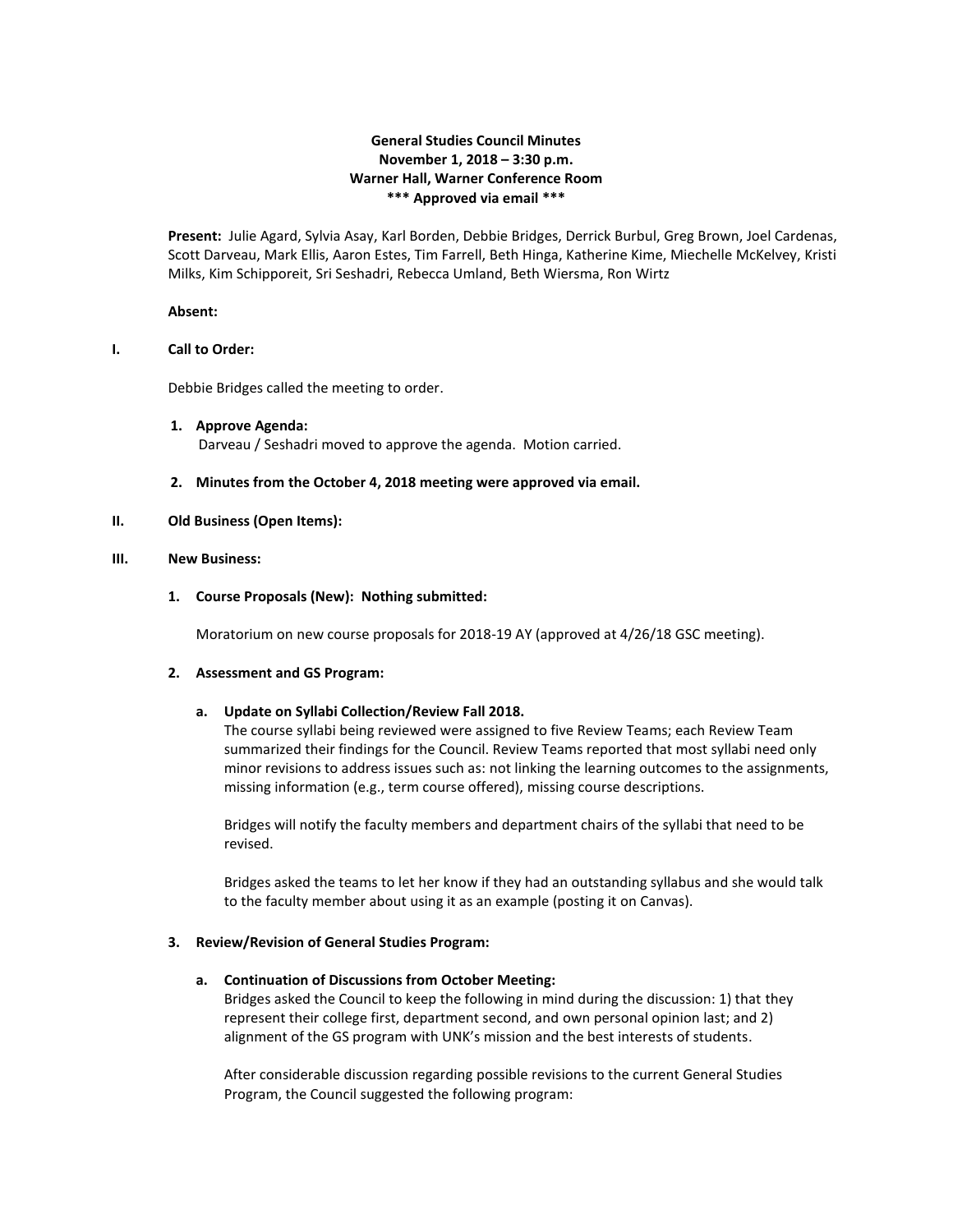# **General Studies Council Minutes November 1, 2018 – 3:30 p.m. Warner Hall, Warner Conference Room \*\*\* Approved via email \*\*\***

**Present:** Julie Agard, Sylvia Asay, Karl Borden, Debbie Bridges, Derrick Burbul, Greg Brown, Joel Cardenas, Scott Darveau, Mark Ellis, Aaron Estes, Tim Farrell, Beth Hinga, Katherine Kime, Miechelle McKelvey, Kristi Milks, Kim Schipporeit, Sri Seshadri, Rebecca Umland, Beth Wiersma, Ron Wirtz

#### **Absent:**

#### **I. Call to Order:**

Debbie Bridges called the meeting to order.

- **1. Approve Agenda:** Darveau / Seshadri moved to approve the agenda. Motion carried.
- **2. Minutes from the October 4, 2018 meeting were approved via email.**

### **II. Old Business (Open Items):**

### **III. New Business:**

### **1. Course Proposals (New): Nothing submitted:**

Moratorium on new course proposals for 2018-19 AY (approved at 4/26/18 GSC meeting).

#### **2. Assessment and GS Program:**

## **a. Update on Syllabi Collection/Review Fall 2018.**

The course syllabi being reviewed were assigned to five Review Teams; each Review Team summarized their findings for the Council. Review Teams reported that most syllabi need only minor revisions to address issues such as: not linking the learning outcomes to the assignments, missing information (e.g., term course offered), missing course descriptions.

Bridges will notify the faculty members and department chairs of the syllabi that need to be revised.

Bridges asked the teams to let her know if they had an outstanding syllabus and she would talk to the faculty member about using it as an example (posting it on Canvas).

#### **3. Review/Revision of General Studies Program:**

## **a. Continuation of Discussions from October Meeting:**

Bridges asked the Council to keep the following in mind during the discussion: 1) that they represent their college first, department second, and own personal opinion last; and 2) alignment of the GS program with UNK's mission and the best interests of students.

After considerable discussion regarding possible revisions to the current General Studies Program, the Council suggested the following program: